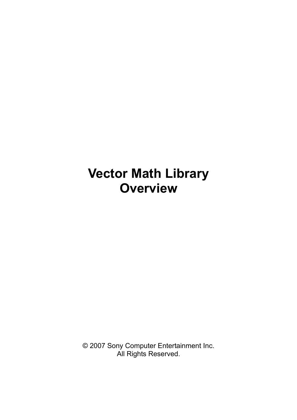# **Vector Math Library Overview**

© 2007 Sony Computer Entertainment Inc. All Rights Reserved.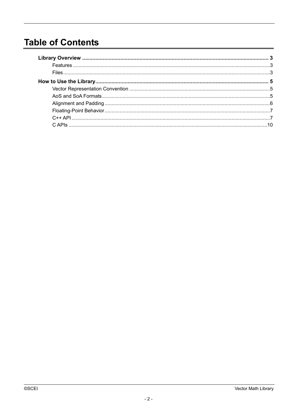# **Table of Contents**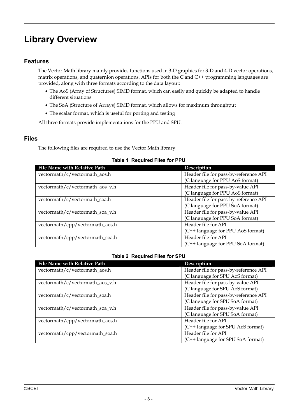# <span id="page-2-0"></span>**Library Overview**

### <span id="page-2-1"></span>**Features**

The Vector Math library mainly provides functions used in 3-D graphics for 3-D and 4-D vector operations, matrix operations, and quaternion operations. APIs for both the C and C++ programming languages are provided, along with three formats according to the data layout:

- The AoS (Array of Structures) SIMD format, which can easily and quickly be adapted to handle different situations
- The SoA (Structure of Arrays) SIMD format, which allows for maximum throughput
- The scalar format, which is useful for porting and testing

All three formats provide implementations for the PPU and SPU.

#### <span id="page-2-2"></span>**Files**

The following files are required to use the Vector Math library:

| File Name with Relative Path    | Description                           |
|---------------------------------|---------------------------------------|
| vectormath/c/vectormath_aos.h   | Header file for pass-by-reference API |
|                                 | (C language for PPU AoS format)       |
| vectormath/c/vectormath_aos_v.h | Header file for pass-by-value API     |
|                                 | (C language for PPU AoS format)       |
| vectormath/c/vectormath_soa.h   | Header file for pass-by-reference API |
|                                 | (C language for PPU SoA format)       |
| vectormath/c/vectormath_soa_v.h | Header file for pass-by-value API     |
|                                 | (C language for PPU SoA format)       |
| vectormath/cpp/vectormath_aos.h | Header file for API                   |
|                                 | (C++ language for PPU AoS format)     |
| vectormath/cpp/vectormath_soa.h | Header file for API                   |
|                                 | (C++ language for PPU SoA format)     |

#### **Table 2 Required Files for SPU**

| <b>File Name with Relative Path</b> | Description                           |
|-------------------------------------|---------------------------------------|
| vectormath/c/vectormath_aos.h       | Header file for pass-by-reference API |
|                                     | (C language for SPU AoS format)       |
| vectormath/c/vectormath_aos_v.h     | Header file for pass-by-value API     |
|                                     | (C language for SPU AoS format)       |
| vectormath/c/vectormath_soa.h       | Header file for pass-by-reference API |
|                                     | (C language for SPU SoA format)       |
| vectormath/c/vectormath_soa_v.h     | Header file for pass-by-value API     |
|                                     | (C language for SPU SoA format)       |
| vectormath/cpp/vectormath_aos.h     | Header file for API                   |
|                                     | (C++ language for SPU AoS format)     |
| vectormath/cpp/vectormath_soa.h     | Header file for API                   |
|                                     | (C++ language for SPU SoA format)     |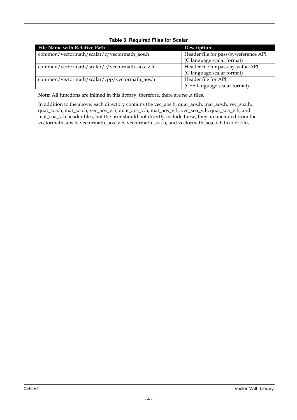| File Name with Relative Path                  | Description                           |
|-----------------------------------------------|---------------------------------------|
| common/vectormath/scalar/c/vectormath_aos.h   | Header file for pass-by-reference API |
|                                               | (C language scalar format)            |
| common/vectormath/scalar/c/vectormath_aos_v.h | Header file for pass-by-value API     |
|                                               | (C language scalar format)            |
| common/vectormath/scalar/cpp/vectormath_aos.h | Header file for API                   |
|                                               | (C++ language scalar format)          |

#### **Table 3 Required Files for Scalar**

**Note:** All functions are inlined in this library; therefore, there are no .a files.

In addition to the above, each directory contains the vec\_aos.h, quat\_aos.h, mat\_aos.h, vec\_soa.h, quat\_soa.h, mat\_soa.h, vec\_aos\_v.h, quat\_aos\_v.h, mat\_aos\_v.h, vec\_soa\_v.h, quat\_soa\_v.h, and mat\_soa\_v.h header files, but the user should not directly include these; they are included from the vectormath\_aos.h, vectormath\_aos\_v.h, vectormath\_soa.h, and vectormath\_soa\_v.h header files.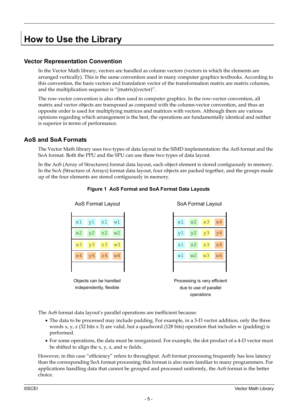# <span id="page-4-0"></span>**How to Use the Library**

# <span id="page-4-1"></span>**Vector Representation Convention**

In the Vector Math library, vectors are handled as column vectors (vectors in which the elements are arranged vertically). This is the same convention used in many computer graphics textbooks. According to this convention, the basis vectors and translation vector of the transformation matrix are matrix columns, and the multiplication sequence is "(matrix)(vector)".

The row-vector convention is also often used in computer graphics. In the row-vector convention, all matrix and vector objects are transposed as compared with the column-vector convention, and thus an opposite order is used for multiplying matrices and matrices with vectors. Although there are various opinions regarding which arrangement is the best, the operations are fundamentally identical and neither is superior in terms of performance.

### <span id="page-4-2"></span>**AoS and SoA Formats**

The Vector Math library uses two types of data layout in the SIMD implementation: the AoS format and the SoA format. Both the PPU and the SPU can use these two types of data layout.

In the AoS (Array of Structures) format data layout, each object element is stored contiguously in memory. In the SoA (Structure of Arrays) format data layout, four objects are packed together, and the groups made up of the four elements are stored contiguously in memory.



**Figure 1 AoS Format and SoA Format Data Layouts** 

The AoS format data layout's parallel operations are inefficient because:

- The data to be processed may include padding. For example, in a 3-D vector addition, only the three words x, y, z  $(32 \text{ bits } x 3)$  are valid, but a quadword  $(128 \text{ bits})$  operation that includes w (padding) is performed.
- For some operations, the data must be reorganized. For example, the dot product of a 4-D vector must be shifted to align the x, y, z, and w fields.

However, in this case "efficiency" refers to throughput. AoS format processing frequently has less latency than the corresponding SoA format processing; this format is also more familiar to many programmers. For applications handling data that cannot be grouped and processed uniformly, the AoS format is the better choice.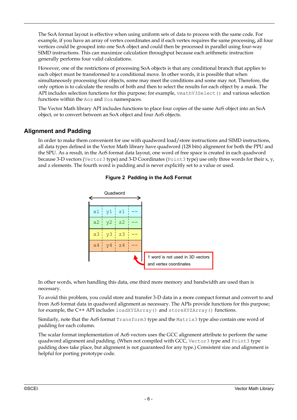The SoA format layout is effective when using uniform sets of data to process with the same code. For example, if you have an array of vertex coordinates and if each vertex requires the same processing, all four vertices could be grouped into one SoA object and could then be processed in parallel using four-way SIMD instructions. This can maximize calculation throughput because each arithmetic instruction generally performs four valid calculations.

However, one of the restrictions of processing SoA objects is that any conditional branch that applies to each object must be transformed to a conditional move. In other words, it is possible that when simultaneously processing four objects, some may meet the conditions and some may not. Therefore, the only option is to calculate the results of both and then to select the results for each object by a mask. The API includes selection functions for this purpose; for example,  $v \mathsf{mathV3Select}$  and various selection functions within the Aos and Soa namespaces.

The Vector Math library API includes functions to place four copies of the same AoS object into an SoA object, or to convert between an SoA object and four AoS objects.

### <span id="page-5-0"></span>**Alignment and Padding**

In order to make them convenient for use with quadword load/store instructions and SIMD instructions, all data types defined in the Vector Math library have quadword (128 bits) alignment for both the PPU and the SPU. As a result, in the AoS format data layout, one word of free space is created in each quadword because 3-D vectors (Vector3 type) and 3-D Coordinates (Point3 type) use only three words for their x, y, and z elements. The fourth word is padding and is never explicitly set to a value or used.



#### **Figure 2 Padding in the AoS Format**

In other words, when handling this data, one third more memory and bandwidth are used than is necessary.

To avoid this problem, you could store and transfer 3-D data in a more compact format and convert to and from AoS format data in quadword alignment as necessary. The APIs provide functions for this purpose; for example, the C++ API includes loadXYZArray() and storeXYZArray() functions.

Similarly, note that the AoS format Transform3 type and the Matrix3 type also contain one word of padding for each column.

The scalar format implementation of AoS vectors uses the GCC alignment attribute to perform the same quadword alignment and padding. (When not compiled with GCC, Vector3 type and Point3 type padding does take place, but alignment is not guaranteed for any type.) Consistent size and alignment is helpful for porting prototype code.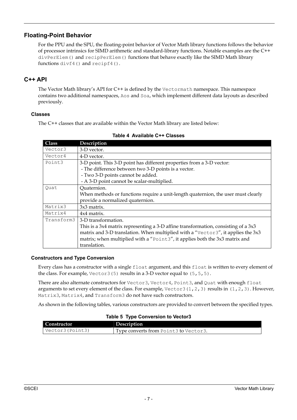### <span id="page-6-0"></span>**Floating-Point Behavior**

For the PPU and the SPU, the floating-point behavior of Vector Math library functions follows the behavior of processor intrinsics for SIMD arithmetic and standard-library functions. Notable examples are the C++ divPerElem() and recipPerElem() functions that behave exactly like the SIMD Math library functions divf4() and recipf4().

# <span id="page-6-1"></span>**C++ API**

The Vector Math library's API for C++ is defined by the Vectormath namespace. This namespace contains two additional namespaces, Aos and Soa, which implement different data layouts as described previously.

#### **Classes**

The C++ classes that are available within the Vector Math library are listed below:

| <b>Class</b> | Description                                                                        |
|--------------|------------------------------------------------------------------------------------|
| Vector3      | 3-D vector.                                                                        |
| Vector4      | 4-D vector.                                                                        |
| Point3       | 3-D point. This 3-D point has different properties from a 3-D vector:              |
|              | - The difference between two 3-D points is a vector.                               |
|              | - Two 3-D points cannot be added.                                                  |
|              | - A 3-D point cannot be scalar-multiplied.                                         |
| Quat         | Quaternion.                                                                        |
|              | When methods or functions require a unit-length quaternion, the user must clearly  |
|              | provide a normalized quaternion.                                                   |
| Matrix3      | 3x3 matrix.                                                                        |
| Matrix4      | 4x4 matrix.                                                                        |
| Transform3   | 3-D transformation.                                                                |
|              | This is a 3x4 matrix representing a 3-D affine transformation, consisting of a 3x3 |
|              | matrix and 3-D translation. When multiplied with a "Vector3", it applies the 3x3   |
|              | matrix; when multiplied with a "Point3", it applies both the 3x3 matrix and        |
|              | translation.                                                                       |

#### **Table 4 Available C++ Classes**

#### **Constructors and Type Conversion**

Every class has a constructor with a single float argument, and this float is written to every element of the class. For example, Vector3(5) results in a 3-D vector equal to (5,5,5).

There are also alternate constructors for Vector3, Vector4, Point3, and Quat with enough float arguments to set every element of the class. For example, Vector3(1,2,3) results in  $(1,2,3)$ . However, Matrix3, Matrix4, and Transform3 do not have such constructors.

As shown in the following tables, various constructors are provided to convert between the specified types.

#### **Table 5 Type Conversion to Vector3**

| Constructor      | Description                           |
|------------------|---------------------------------------|
| Vector3 (Point3) | Type converts from Point3 to Vector3. |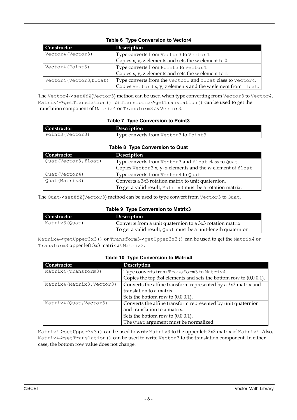| Constructor             | Description                                                    |
|-------------------------|----------------------------------------------------------------|
| Vector4 (Vector3)       | Type converts from Vector3 to Vector4.                         |
|                         | Copies $x$ , $y$ , $z$ elements and sets the $w$ element to 0. |
| Vector4 (Point3)        | Type converts from Point3 to Vector4.                          |
|                         | Copies $x$ , $y$ , $z$ elements and sets the $w$ element to 1. |
| Vector4 (Vector3,float) | Type converts from the Vector3 and float class to Vector4.     |
|                         | Copies Vector 3 x, y, z elements and the w element from float. |

#### **Table 6 Type Conversion to Vector4**

The Vector4->setXYZ(Vector3) method can be used when type converting from Vector3 to Vector4. Matrix4->getTranslation() or Transform3->getTranslation() can be used to get the translation component of Matrix4 or Transform3 as Vector3.

#### **Table 7 Type Conversion to Point3**

| $\overline{\phantom{a}}$ Constructor | Description                           |
|--------------------------------------|---------------------------------------|
| Point3 (Vector3)                     | Type converts from Vector3 to Point3. |

#### **Table 8 Type Conversion to Quat**

| Constructor           | Description                                                 |
|-----------------------|-------------------------------------------------------------|
| Quat (Vector3, float) | Type converts from Vector3 and float class to Quat.         |
|                       | Copies Vector3 x, y, z elements and the w element of float. |
| Quat (Vector4)        | Type converts from Vector4 to Quat.                         |
| Quat (Matrix3)        | Converts a 3x3 rotation matrix to unit quaternion.          |
|                       | To get a valid result, Matrix3 must be a rotation matrix.   |

The Quat->setXYZ(Vector3) method can be used to type convert from Vector3 to Quat.

#### **Table 9 Type Conversion to Matrix3**

| Constructor    | Description                                                   |
|----------------|---------------------------------------------------------------|
| Matrix3 (Ouat) | Converts from a unit quaternion to a 3x3 rotation matrix.     |
|                | To get a valid result, Quat must be a unit-length quaternion. |

Matrix4->getUpper3x3() or Transform3->getUpper3x3() can be used to get the Matrix4 or Transform3 upper left 3x3 matrix as Matrix3.

#### **Table 10 Type Conversion to Matrix4**

| Constructor                | Description                                                            |
|----------------------------|------------------------------------------------------------------------|
| Matrix4(Transform3)        | Type converts from Transform3 to Matrix4.                              |
|                            | Copies the top $3x4$ elements and sets the bottom row to $(0,0,0,1)$ . |
| Matrix4 (Matrix3, Vector3) | Converts the affine transform represented by a 3x3 matrix and          |
|                            | translation to a matrix.                                               |
|                            | Sets the bottom row to $(0,0,0,1)$ .                                   |
| Matrix4 (Quat, Vector3)    | Converts the affine transform represented by unit quaternion           |
|                            | and translation to a matrix.                                           |
|                            | Sets the bottom row to $(0,0,0,1)$ .                                   |
|                            | The Quat argument must be normalized.                                  |

Matrix4->setUpper3x3() can be used to write Matrix3 to the upper left 3x3 matrix of Matrix4. Also, Matrix4->setTranslation() can be used to write Vector3 to the translation component. In either case, the bottom row value does not change.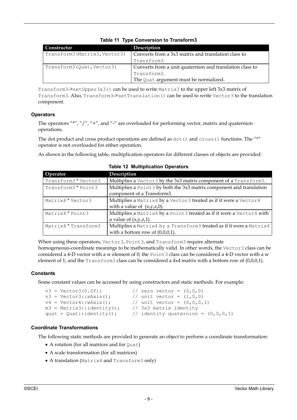| Constructor                   | Description                                              |  |
|-------------------------------|----------------------------------------------------------|--|
| Transform3 (Matrix3, Vector3) | Converts from a 3x3 matrix and translation class to      |  |
|                               | Transform3.                                              |  |
| Transform3(Quat, Vector3)     | Converts from a unit quaternion and translation class to |  |
|                               | Transform3.                                              |  |
|                               | The Quat argument must be normalized.                    |  |

### **Table 11 Type Conversion to Transform3**

Transform3->setUpper3x3() can be used to write Matrix3 to the upper left 3x3 matrix of Transform3. Also, Transform3->setTranslation() can be used to write Vector3 to the translation component.

#### **Operators**

The operators "\*", "/", "+", and "-" are overloaded for performing vector, matrix and quaternion operations.

The dot product and cross product operations are defined as  $dot()$  and  $cross()$  functions. The "\*" operator is not overloaded for either operation.

As shown in the following table, multiplication operators for different classes of objects are provided:

| Operator             | Description                                                           |  |
|----------------------|-----------------------------------------------------------------------|--|
| Transform3 * Vector3 | Multiplies a Vector3 by the 3x3 matrix component of a Transform3.     |  |
| Transform3 * Point3  | Multiplies a Point3 by both the 3x3 matrix component and translation  |  |
|                      | component of a Transform3.                                            |  |
| Matrix4 * Vector3    | Multiplies a Matrix4 by a Vector3 treated as if it were a Vector4     |  |
|                      | with a value of $(x,y,z,0)$ .                                         |  |
| Matrix4 * Point3     | Multiplies a Matrix4 by a Point3 treated as if it were a Vector4 with |  |
|                      | a value of $(x,y,z,1)$ .                                              |  |
| Matrix4 * Transform3 | Multiplies a Matrix4 by a Transform3 treated as if it were a Matrix4  |  |
|                      | with a bottom row of $(0,0,0,1)$ .                                    |  |

#### **Table 12 Multiplication Operators**

When using these operators, Vector3, Point3, and Transform3 require alternate homogeneous-coordinate meanings to be mathematically valid. In other words, the Vector3 class can be considered a 4-D vector with a w element of 0; the Point3 class can be considered a 4-D vector with a w element of 1; and the Transform3 class can be considered a 4x4 matrix with a bottom row of (0,0,0,1).

#### **Constants**

Some constant values can be accessed by using constructors and static methods. For example:

```
v3 = Vector3(0.0f); // zero vector = (0,0,0)v3 = Vector3::xAxis(); // unit vector = (1,0,0)v4 = Vector4::wAxis(); // unit vector = (0,0,0,1)m3 = Matrix3::identity(); // 3x3 matrix identity 
quat = Quat::identity(); // identity quaternion = (0,0,0,1)
```
#### **Coordinate Transformations**

The following static methods are provided to generate an object to perform a coordinate transformation:

- A rotation (for all matrices and for Quat)
- A scale transformation (for all matrices)
- A translation (Matrix4 and Transform3 only)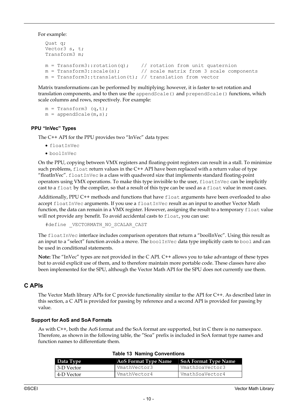For example:

```
Quat q; 
Vector3 s, t; 
Transform3 m; 
m = Transform3:: rotation(q); // rotation from unit quaternion
m = Transform3::scale(s); \frac{1}{2} // scale matrix from 3 scale components
m = Transform3::translation(t); // translation from vector
```
Matrix transformations can be performed by multiplying; however, it is faster to set rotation and translation components, and to then use the appendScale() and prependScale() functions, which scale columns and rows, respectively. For example:

```
m = Transform3 (q,t);
m = appendScale(m, s);
```
#### **PPU "InVec" Types**

The C++ API for the PPU provides two "InVec" data types:

- floatInVec
- boolInVec

On the PPU, copying between VMX registers and floating-point registers can result in a stall. To minimize such problems, float return values in the C++ API have been replaced with a return value of type "floatInVec". floatInVec is a class with quadword size that implements standard floating-point operators using VMX operations. To make this type invisible to the user,  $f$ loatInVec can be implicitly cast to a float by the compiler, so that a result of this type can be used as a float value in most cases.

Additionally, PPU C++ methods and functions that have float arguments have been overloaded to also accept floatInVec arguments. If you use a floatInVec result as an input to another Vector Math function, the data can remain in a VMX register. However, assigning the result to a temporary float value will not provide any benefit. To avoid accidental casts to float, you can use:

#define \_VECTORMATH\_NO\_SCALAR\_CAST

The floatInVec interface includes comparison operators that return a "boolInVec". Using this result as an input to a "select" function avoids a move. The boolInVec data type implicitly casts to bool and can be used in conditional statements.

**Note:** The "InVec" types are not provided in the C API. C++ allows you to take advantage of these types but to avoid explicit use of them, and to therefore maintain more portable code. These classes have also been implemented for the SPU, although the Vector Math API for the SPU does not currently use them.

#### <span id="page-9-0"></span>**C APIs**

The Vector Math library APIs for C provide functionality similar to the API for C++. As described later in this section, a C API is provided for passing by reference and a second API is provided for passing by value.

#### **Support for AoS and SoA Formats**

As with C++, both the AoS format and the SoA format are supported, but in C there is no namespace. Therefore, as shown in the following table, the "Soa" prefix is included in SoA format type names and function names to differentiate them.

| Data Type   | <b>AoS Format Type Name</b> | SoA Format Type Name |
|-------------|-----------------------------|----------------------|
| 13-D Vector | VmathVector3                | VmathSoaVector3      |
| 14-D Vector | VmathVector4                | VmathSoaVector4      |

#### **Table 13 Naming Conventions**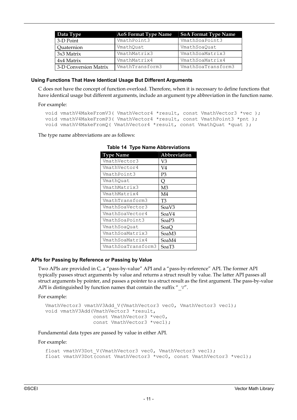| Data Type             | <b>AoS Format Type Name</b> | <b>SoA Format Type Name</b> |
|-----------------------|-----------------------------|-----------------------------|
| 3-D Point             | VmathPoint3                 | VmathSoaPoint3              |
| Quaternion            | VmathOuat                   | VmathSoaOuat                |
| 3x3 Matrix            | VmathMatrix3                | VmathSoaMatrix3             |
| 4x4 Matrix            | VmathMatrix4                | VmathSoaMatrix4             |
| 3-D Conversion Matrix | VmathTransform3             | VmathSoaTransform3          |

#### **Using Functions That Have Identical Usage But Different Arguments**

C does not have the concept of function overload. Therefore, when it is necessary to define functions that have identical usage but different arguments, include an argument type abbreviation in the function name.

For example:

```
void vmathV4MakeFromV3( VmathVector4 *result, const VmathVector3 *vec ); 
void vmathV4MakeFromP3( VmathVector4 *result, const VmathPoint3 *pnt ); 
void vmathV4MakeFromQ( VmathVector4 *result, const VmathQuat *quat );
```
The type name abbreviations are as follows:

| <b>Type Name</b>   | Abbreviation   |
|--------------------|----------------|
| VmathVector3       | V3             |
| VmathVector4       | V4             |
| VmathPoint3        | P3             |
| VmathOuat          | Q              |
| VmathMatrix3       | M <sub>3</sub> |
| VmathMatrix4       | M4             |
| VmathTransform3    | T3             |
| VmathSoaVector3    | SoaV3          |
| VmathSoaVector4    | SoaV4          |
| VmathSoaPoint3     | SoaP3          |
| VmathSoaOuat       | SoaQ           |
| VmathSoaMatrix3    | SoaM3          |
| VmathSoaMatrix4    | SoaM4          |
| VmathSoaTransform3 | SoaT3          |

**Table 14 Type Name Abbreviations** 

#### **APIs for Passing by Reference or Passing by Value**

Two APIs are provided in C, a "pass-by-value" API and a "pass-by-reference" API. The former API typically passes struct arguments by value and returns a struct result by value. The latter API passes all struct arguments by pointer, and passes a pointer to a struct result as the first argument. The pass-by-value API is distinguished by function names that contain the suffix " $V''$ .

For example:

```
VmathVector3 vmathV3Add V(VmathVector3 vec0, VmathVector3 vec1);
void vmathV3Add(VmathVector3 *result, 
                 const VmathVector3 *vec0, 
                const VmathVector3 *vec1);
```
Fundamental data types are passed by value in either API.

For example:

```
float vmathV3Dot V(VmathVector3 vec0, VmathVector3 vec1);
float vmathV3Dot(const VmathVector3 *vec0, const VmathVector3 *vec1);
```